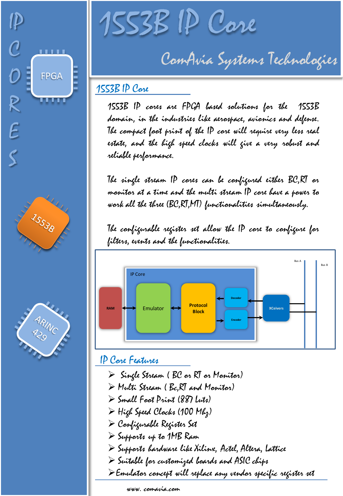



S



1553B IP Core

ComAvia Systems Technologies

## 1553B IP Core

1553B IP cores are FPGA based solutions for the 1553B domain, in the industries like aerospace, avionics and defense. The compact foot print of the IP core will require very less real estate, and the high speed clocks will give a very robust and reliable performance.

The single stream IP cores can be configured either BC,RT or monitor at a time and the multi stream IP core have a power to work all the three (BC,RT,MT) functionalities simultaneously.

The configurable register set allow the IP core to configure for filters, events and the functionalities.



## IP Core Features

- $\triangleright$  Single Stream (BC or RT or Monitor)
- Multi Stream ( Bc,RT and Monitor)
- Small Foot Print (887 Luts)
- High Speed Clocks (100 Mhz)
- Configurable Register Set
- Supports up to 1MB Ram
- $\triangleright$  Supports bardware like Xilinx, Actel, Altera, Lattice
- $\triangleright$  Suitable for customized boards and ASIC chips
- Emulator concept will replace any vendor specific register set